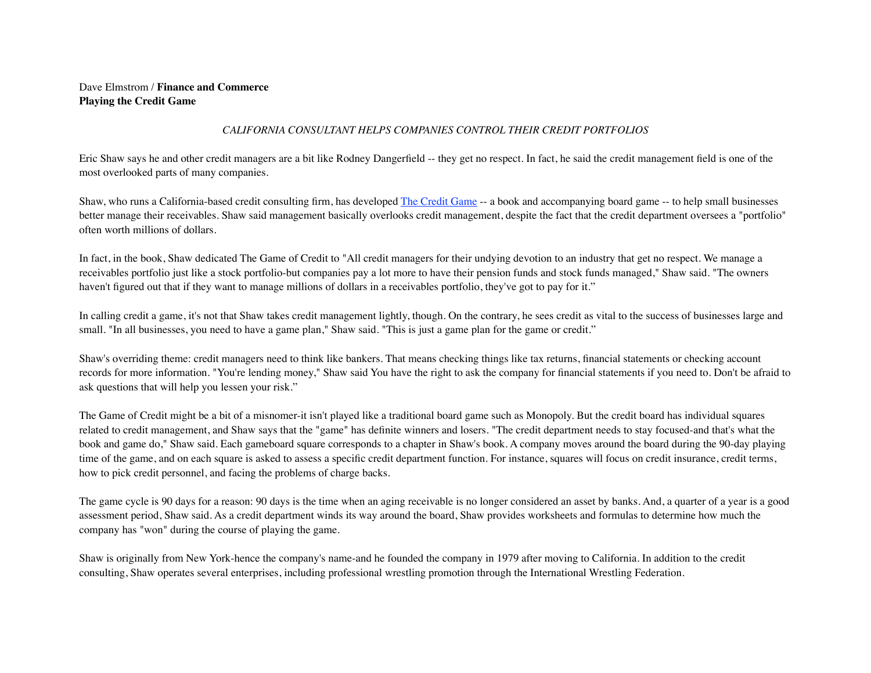## Dave Elmstrom / **Finance and Commerce Playing the Credit Game**

## *CALIFORNIA CONSULTANT HELPS COMPANIES CONTROL THEIR CREDIT PORTFOLIOS*

Eric Shaw says he and other credit managers are a bit like Rodney Dangerfield -- they get no respect. In fact, he said the credit management field is one of the most overlooked parts of many companies.

Shaw, who runs a California-based credit consulting firm, has developed [The Credit Game](http://www.nycreditinc.com/Products/products.htm) -- a book and accompanying board game -- to help small businesses better manage their receivables. Shaw said management basically overlooks credit management, despite the fact that the credit department oversees a "portfolio" often worth millions of dollars.

In fact, in the book, Shaw dedicated The Game of Credit to "All credit managers for their undying devotion to an industry that get no respect. We manage a receivables portfolio just like a stock portfolio-but companies pay a lot more to have their pension funds and stock funds managed," Shaw said. "The owners haven't figured out that if they want to manage millions of dollars in a receivables portfolio, they've got to pay for it."

In calling credit a game, it's not that Shaw takes credit management lightly, though. On the contrary, he sees credit as vital to the success of businesses large and small. "In all businesses, you need to have a game plan," Shaw said. "This is just a game plan for the game or credit."

Shaw's overriding theme: credit managers need to think like bankers. That means checking things like tax returns, financial statements or checking account records for more information. "You're lending money," Shaw said You have the right to ask the company for financial statements if you need to. Don't be afraid to ask questions that will help you lessen your risk."

The Game of Credit might be a bit of a misnomer-it isn't played like a traditional board game such as Monopoly. But the credit board has individual squares related to credit management, and Shaw says that the "game" has definite winners and losers. "The credit department needs to stay focused-and that's what the book and game do," Shaw said. Each gameboard square corresponds to a chapter in Shaw's book. A company moves around the board during the 90-day playing time of the game, and on each square is asked to assess a specific credit department function. For instance, squares will focus on credit insurance, credit terms, how to pick credit personnel, and facing the problems of charge backs.

The game cycle is 90 days for a reason: 90 days is the time when an aging receivable is no longer considered an asset by banks. And, a quarter of a year is a good assessment period, Shaw said. As a credit department winds its way around the board, Shaw provides worksheets and formulas to determine how much the company has "won" during the course of playing the game.

Shaw is originally from New York-hence the company's name-and he founded the company in 1979 after moving to California. In addition to the credit consulting, Shaw operates several enterprises, including professional wrestling promotion through the International Wrestling Federation.